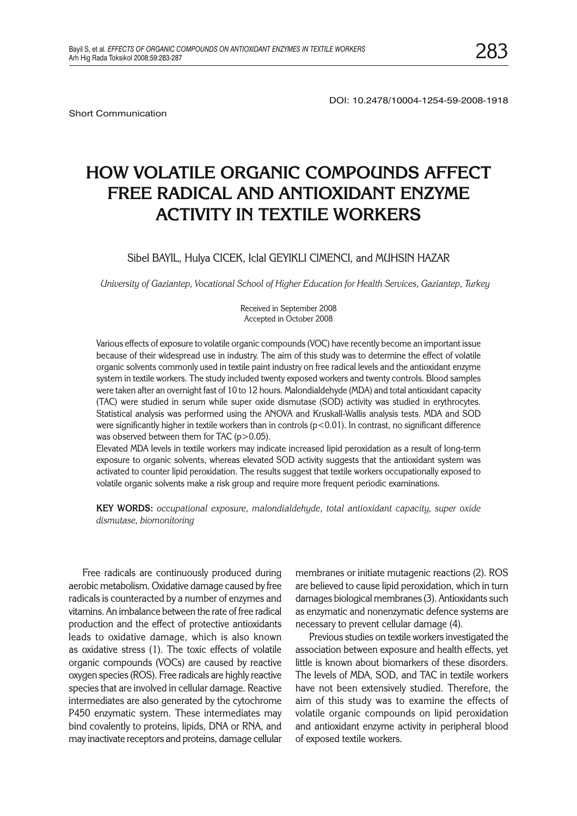Short Communication

DOI: 10.2478/10004-1254-59-2008-1918

# **HOW VOLATILE ORGANIC COMPOUNDS AFFECT FREE RADICAL AND ANTIOXIDANT ENZYME ACTIVITY IN TEXTILE WORKERS**

## Sibel BAYIL, Hulya CICEK, Iclal GEYIKLI CIMENCI, and MUHSIN HAZAR

*University of Gaziantep, Vocational School of Higher Education for Health Services, Gaziantep, Turkey*

Received in September 2008 Accepted in October 2008

Various effects of exposure to volatile organic compounds (VOC) have recently become an important issue because of their widespread use in industry. The aim of this study was to determine the effect of volatile organic solvents commonly used in textile paint industry on free radical levels and the antioxidant enzyme system in textile workers. The study included twenty exposed workers and twenty controls. Blood samples were taken after an overnight fast of 10 to 12 hours. Malondialdehyde (MDA) and total antioxidant capacity (TAC) were studied in serum while super oxide dismutase (SOD) activity was studied in erythrocytes. Statistical analysis was performed using the ANOVA and Kruskall-Wallis analysis tests. MDA and SOD were significantly higher in textile workers than in controls  $(p<0.01)$ . In contrast, no significant difference was observed between them for TAC (p>0.05).

Elevated MDA levels in textile workers may indicate increased lipid peroxidation as a result of long-term exposure to organic solvents, whereas elevated SOD activity suggests that the antioxidant system was activated to counter lipid peroxidation. The results suggest that textile workers occupationally exposed to volatile organic solvents make a risk group and require more frequent periodic examinations.

**KEY WORDS:** *occupational exposure, malondialdehyde, total antioxidant capacity, super oxide dismutase, biomonitoring*

Free radicals are continuously produced during aerobic metabolism. Oxidative damage caused by free radicals is counteracted by a number of enzymes and vitamins. An imbalance between the rate of free radical production and the effect of protective antioxidants leads to oxidative damage, which is also known as oxidative stress (1). The toxic effects of volatile organic compounds (VOCs) are caused by reactive oxygen species (ROS). Free radicals are highly reactive species that are involved in cellular damage. Reactive intermediates are also generated by the cytochrome P450 enzymatic system. These intermediates may bind covalently to proteins, lipids, DNA or RNA, and may inactivate receptors and proteins, damage cellular

membranes or initiate mutagenic reactions (2). ROS are believed to cause lipid peroxidation, which in turn damages biological membranes (3). Antioxidants such as enzymatic and nonenzymatic defence systems are necessary to prevent cellular damage (4).

Previous studies on textile workers investigated the association between exposure and health effects, yet little is known about biomarkers of these disorders. The levels of MDA, SOD, and TAC in textile workers have not been extensively studied. Therefore, the aim of this study was to examine the effects of volatile organic compounds on lipid peroxidation and antioxidant enzyme activity in peripheral blood of exposed textile workers.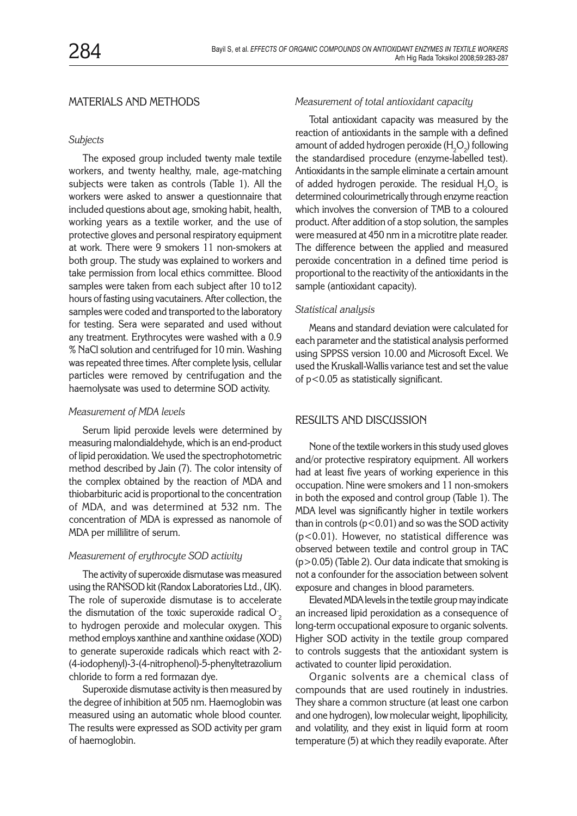# MATERIALS AND METHODS

#### *Subjects*

The exposed group included twenty male textile workers, and twenty healthy, male, age-matching subjects were taken as controls (Table 1). All the workers were asked to answer a questionnaire that included questions about age, smoking habit, health, working years as a textile worker, and the use of protective gloves and personal respiratory equipment at work. There were 9 smokers 11 non-smokers at both group. The study was explained to workers and take permission from local ethics committee. Blood samples were taken from each subject after 10 to12 hours of fasting using vacutainers. After collection, the samples were coded and transported to the laboratory for testing. Sera were separated and used without any treatment. Erythrocytes were washed with a 0.9 % NaCl solution and centrifuged for 10 min. Washing was repeated three times. After complete lysis, cellular particles were removed by centrifugation and the haemolysate was used to determine SOD activity.

#### *Measurement of MDA levels*

Serum lipid peroxide levels were determined by measuring malondialdehyde, which is an end-product of lipid peroxidation. We used the spectrophotometric method described by Jain (7). The color intensity of the complex obtained by the reaction of MDA and thiobarbituric acid is proportional to the concentration of MDA, and was determined at 532 nm. The concentration of MDA is expressed as nanomole of MDA per millilitre of serum.

## *Measurement of erythrocyte SOD activity*

The activity of superoxide dismutase was measured using the RANSOD kit (Randox Laboratories Ltd., UK). The role of superoxide dismutase is to accelerate the dismutation of the toxic superoxide radical  $\mathrm{O}_2^{\cdot}$ to hydrogen peroxide and molecular oxygen. This method employs xanthine and xanthine oxidase (XOD) to generate superoxide radicals which react with 2- (4-iodophenyl)-3-(4-nitrophenol)-5-phenyltetrazolium chloride to form a red formazan dye.

Superoxide dismutase activity is then measured by the degree of inhibition at 505 nm. Haemoglobin was measured using an automatic whole blood counter. The results were expressed as SOD activity per gram of haemoglobin.

#### *Measurement of total antioxidant capacity*

Total antioxidant capacity was measured by the reaction of antioxidants in the sample with a defined amount of added hydrogen peroxide ( $\rm H_2O_2$ ) following the standardised procedure (enzyme-labelled test). Antioxidants in the sample eliminate a certain amount of added hydrogen peroxide. The residual  $\rm H_2O_2$  is determined colourimetrically through enzyme reaction which involves the conversion of TMB to a coloured product. After addition of a stop solution, the samples were measured at 450 nm in a microtitre plate reader. The difference between the applied and measured peroxide concentration in a defined time period is proportional to the reactivity of the antioxidants in the sample (antioxidant capacity).

## *Statistical analysis*

Means and standard deviation were calculated for each parameter and the statistical analysis performed using SPPSS version 10.00 and Microsoft Excel. We used the Kruskall-Wallis variance test and set the value of p<0.05 as statistically significant.

# RESULTS AND DISCUSSION

None of the textile workers in this study used gloves and/or protective respiratory equipment. All workers had at least five years of working experience in this occupation. Nine were smokers and 11 non-smokers in both the exposed and control group (Table 1). The MDA level was significantly higher in textile workers than in controls  $(p<0.01)$  and so was the SOD activity (p<0.01). However, no statistical difference was observed between textile and control group in TAC  $(p>0.05)$  (Table 2). Our data indicate that smoking is not a confounder for the association between solvent exposure and changes in blood parameters.

Elevated MDA levels in the textile group may indicate an increased lipid peroxidation as a consequence of long-term occupational exposure to organic solvents. Higher SOD activity in the textile group compared to controls suggests that the antioxidant system is activated to counter lipid peroxidation.

Organic solvents are a chemical class of compounds that are used routinely in industries. They share a common structure (at least one carbon and one hydrogen), low molecular weight, lipophilicity, and volatility, and they exist in liquid form at room temperature (5) at which they readily evaporate. After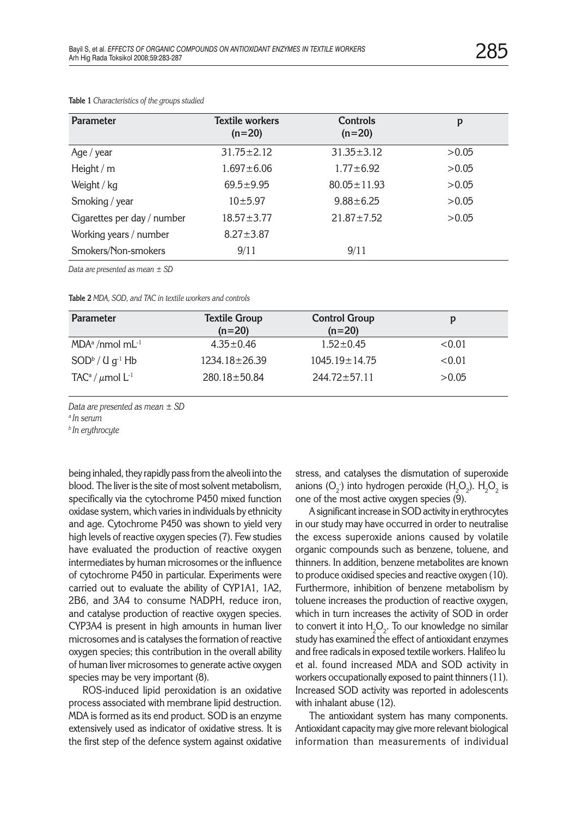| Parameter                   | <b>Textile workers</b><br>$(n=20)$ | <b>Controls</b><br>$(n=20)$ | p     |
|-----------------------------|------------------------------------|-----------------------------|-------|
| Age / year                  | $31.75 \pm 2.12$                   | $31.35 \pm 3.12$            | >0.05 |
| Height / $m$                | $1.697 \pm 6.06$                   | $1.77 \pm 6.92$             | >0.05 |
| Weight / kg                 | $69.5 \pm 9.95$                    | $80.05 \pm 11.93$           | >0.05 |
| Smoking / year              | 10±5.97                            | $9.88 \pm 6.25$             | >0.05 |
| Cigarettes per day / number | $18.57 \pm 3.77$                   | $21.87 \pm 7.52$            | >0.05 |
| Working years / number      | $8.27 \pm 3.87$                    |                             |       |
| Smokers/Non-smokers         | 9/11                               | 9/11                        |       |

**Table 1** *Characteristics of the groups studied*

*Data are presented as mean ± SD*

**Table 2** *MDA, SOD, and TAC in textile workers and controls*

| Parameter                                    | <b>Textile Group</b><br>$(n=20)$ | <b>Control Group</b><br>$(n=20)$ | D      |
|----------------------------------------------|----------------------------------|----------------------------------|--------|
| $MDAa$ /nmol mL <sup>-1</sup>                | $4.35 \pm 0.46$                  | $1.52 \pm 0.45$                  | < 0.01 |
| $SOD^b / U g^{-1} Hb$                        | $1234.18 \pm 26.39$              | $1045.19 \pm 14.75$              | < 0.01 |
| TAC <sup>a</sup> / $\mu$ mol L <sup>-1</sup> | $280.18 \pm 50.84$               | $244.72 + 57.11$                 | >0.05  |

*Data are presented as mean ± SD*

*<sup>a</sup> In serum*

*<sup>b</sup> In erythrocyte*

being inhaled, they rapidly pass from the alveoli into the blood. The liver is the site of most solvent metabolism, specifically via the cytochrome P450 mixed function oxidase system, which varies in individuals by ethnicity and age. Cytochrome P450 was shown to yield very high levels of reactive oxygen species (7). Few studies have evaluated the production of reactive oxygen intermediates by human microsomes or the influence of cytochrome P450 in particular. Experiments were carried out to evaluate the ability of CYP1A1, 1A2, 2B6, and 3A4 to consume NADPH, reduce iron, and catalyse production of reactive oxygen species. CYP3A4 is present in high amounts in human liver microsomes and is catalyses the formation of reactive oxygen species; this contribution in the overall ability of human liver microsomes to generate active oxygen species may be very important (8).

ROS-induced lipid peroxidation is an oxidative process associated with membrane lipid destruction. MDA is formed as its end product. SOD is an enzyme extensively used as indicator of oxidative stress. It is the first step of the defence system against oxidative stress, and catalyses the dismutation of superoxide anions (O<sub>2</sub>) into hydrogen peroxide (H<sub>2</sub>O<sub>2</sub>). H<sub>2</sub>O<sub>2</sub> is one of the most active oxygen species (9).

A significant increase in SOD activity in erythrocytes in our study may have occurred in order to neutralise the excess superoxide anions caused by volatile organic compounds such as benzene, toluene, and thinners. In addition, benzene metabolites are known to produce oxidised species and reactive oxygen (10). Furthermore, inhibition of benzene metabolism by toluene increases the production of reactive oxygen, which in turn increases the activity of SOD in order to convert it into  ${\sf H}_2{\sf O}_2$ . To our knowledge no similar study has examined the effect of antioxidant enzymes and free radicals in exposed textile workers. Halifeo lu et al. found increased MDA and SOD activity in workers occupationally exposed to paint thinners (11). Increased SOD activity was reported in adolescents with inhalant abuse (12).

The antioxidant system has many components. Antioxidant capacity may give more relevant biological information than measurements of individual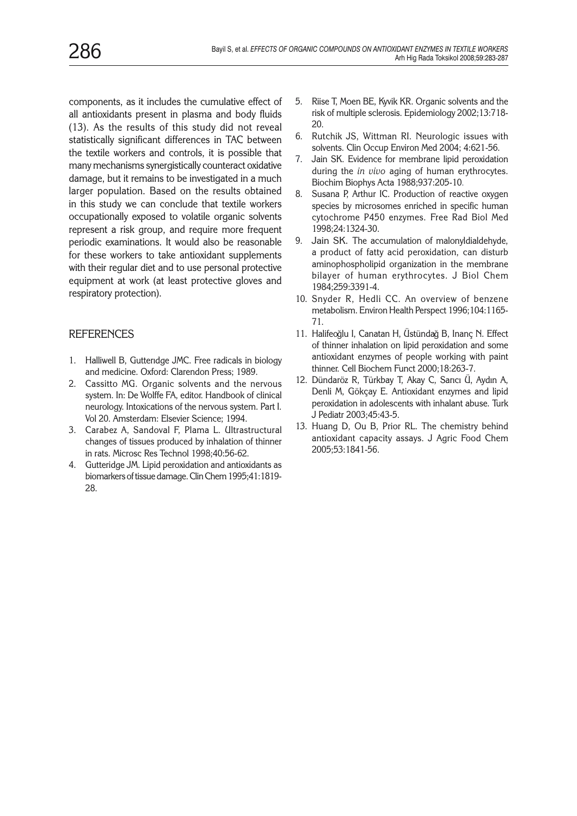components, as it includes the cumulative effect of all antioxidants present in plasma and body fluids (13). As the results of this study did not reveal statistically significant differences in TAC between the textile workers and controls, it is possible that many mechanisms synergistically counteract oxidative damage, but it remains to be investigated in a much larger population. Based on the results obtained in this study we can conclude that textile workers occupationally exposed to volatile organic solvents represent a risk group, and require more frequent periodic examinations. It would also be reasonable for these workers to take antioxidant supplements with their regular diet and to use personal protective equipment at work (at least protective gloves and respiratory protection).

# **REFERENCES**

- 1. Halliwell B, Gutterıdge JMC. Free radicals in biology and medicine. Oxford: Clarendon Press; 1989.
- 2. Cassitto MG. Organic solvents and the nervous system. In: De Wolffe FA, editor. Handbook of clinical neurology. Intoxications of the nervous system. Part I. Vol 20. Amsterdam: Elsevier Science; 1994.
- 3. Carabez A, Sandoval F, Plama L. Ultrastructural changes of tissues produced by inhalation of thinner in rats. Microsc Res Technol 1998;40:56-62.
- 4. Gutteridge JM. Lipid peroxidation and antioxidants as biomarkers of tissue damage. Clin Chem 1995;41:1819- 28.
- 5. Riise T, Moen BE, Kyvik KR. Organic solvents and the risk of multiple sclerosis. Epidemiology 2002;13:718- 20.
- 6. Rutchik JS, Wittman RI. Neurologic issues with solvents. Clin Occup Environ Med 2004; 4:621-56.
- 7. Jain SK. Evidence for membrane lipid peroxidation during the *in vivo* aging of human erythrocytes. Biochim Biophys Acta 1988;937:205-10.
- 8. Susana P, Arthur IC. Production of reactive oxygen species by microsomes enriched in specific human cytochrome P450 enzymes. Free Rad Biol Med 1998;24:1324-30.
- 9. Jain SK. The accumulation of malonyldialdehyde, a product of fatty acid peroxidation, can disturb aminophospholipid organization in the membrane bilayer of human erythrocytes. J Biol Chem 1984;259:3391-4.
- 10. Snyder R, Hedli CC. An overview of benzene metabolism. Environ Health Perspect 1996;104:1165- 71.
- 11. Halifeoğlu I, Canatan H, Üstündağ B, Inanç N. Effect of thinner inhalation on lipid peroxidation and some antioxidant enzymes of people working with paint thinner. Cell Biochem Funct 2000;18:263-7.
- 12. Dündaröz R, Türkbay T, Akay C, Sarıcı Ü, Aydın A, Denli M, Gökçay E. Antioxidant enzymes and lipid peroxidation in adolescents with inhalant abuse. Turk J Pediatr 2003;45:43-5.
- 13. Huang D, Ou B, Prior RL. The chemistry behind antioxidant capacity assays. J Agric Food Chem 2005;53:1841-56.